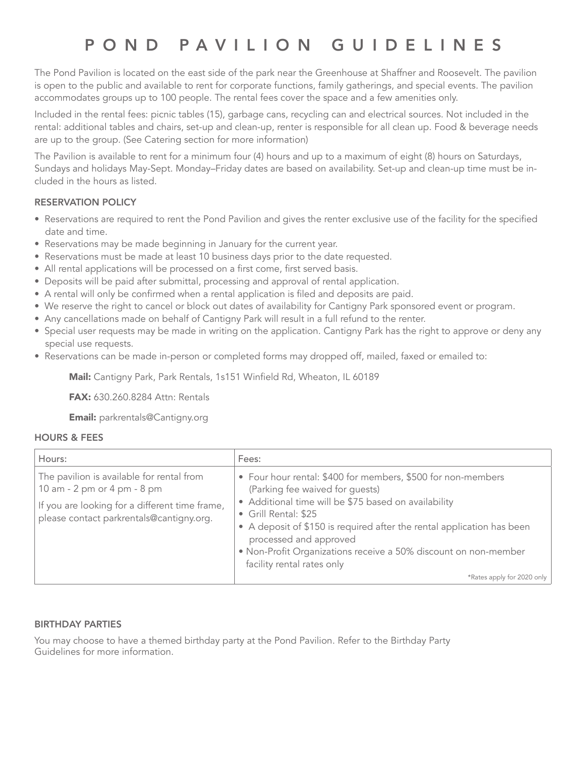# POND PAVILION GUIDELINES

The Pond Pavilion is located on the east side of the park near the Greenhouse at Shaffner and Roosevelt. The pavilion is open to the public and available to rent for corporate functions, family gatherings, and special events. The pavilion accommodates groups up to 100 people. The rental fees cover the space and a few amenities only.

Included in the rental fees: picnic tables (15), garbage cans, recycling can and electrical sources. Not included in the rental: additional tables and chairs, set-up and clean-up, renter is responsible for all clean up. Food & beverage needs are up to the group. (See Catering section for more information)

The Pavilion is available to rent for a minimum four (4) hours and up to a maximum of eight (8) hours on Saturdays, Sundays and holidays May-Sept. Monday–Friday dates are based on availability. Set-up and clean-up time must be included in the hours as listed.

## RESERVATION POLICY

- Reservations are required to rent the Pond Pavilion and gives the renter exclusive use of the facility for the specified date and time.
- Reservations may be made beginning in January for the current year.
- Reservations must be made at least 10 business days prior to the date requested.
- All rental applications will be processed on a first come, first served basis.
- Deposits will be paid after submittal, processing and approval of rental application.
- A rental will only be confirmed when a rental application is filed and deposits are paid.
- We reserve the right to cancel or block out dates of availability for Cantigny Park sponsored event or program.
- Any cancellations made on behalf of Cantigny Park will result in a full refund to the renter.
- Special user requests may be made in writing on the application. Cantigny Park has the right to approve or deny any special use requests.
- Reservations can be made in-person or completed forms may dropped off, mailed, faxed or emailed to:

Mail: Cantigny Park, Park Rentals, 1s151 Winfield Rd, Wheaton, IL 60189

FAX: 630.260.8284 Attn: Rentals

Email: parkrentals@Cantigny.org

## HOURS & FEES

| Hours:                                                                                                                                                                 | Fees:                                                                                                                                                                                                                                                                                                                                                                                |
|------------------------------------------------------------------------------------------------------------------------------------------------------------------------|--------------------------------------------------------------------------------------------------------------------------------------------------------------------------------------------------------------------------------------------------------------------------------------------------------------------------------------------------------------------------------------|
| The pavilion is available for rental from<br>10 am - 2 pm or 4 pm - 8 pm<br>If you are looking for a different time frame,<br>please contact parkrentals@cantigny.org. | • Four hour rental: \$400 for members, \$500 for non-members<br>(Parking fee waived for guests)<br>• Additional time will be \$75 based on availability<br>• Grill Rental: \$25<br>• A deposit of \$150 is required after the rental application has been<br>processed and approved<br>• Non-Profit Organizations receive a 50% discount on non-member<br>facility rental rates only |
|                                                                                                                                                                        | *Rates apply for 2020 only                                                                                                                                                                                                                                                                                                                                                           |

## BIRTHDAY PARTIES

You may choose to have a themed birthday party at the Pond Pavilion. Refer to the Birthday Party Guidelines for more information.